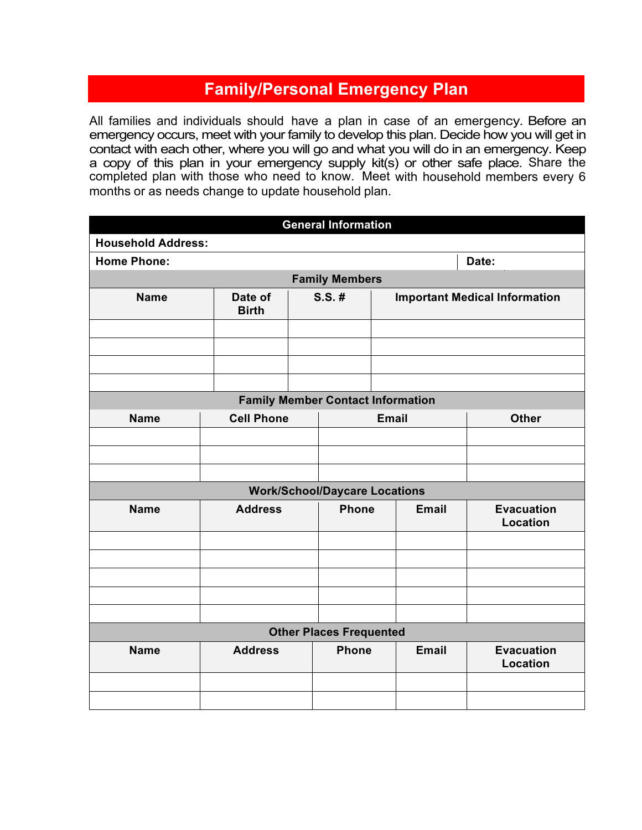## **Family/Personal Emergency Plan**

All families and individuals should have a plan in case of an emergency. Before an emergency occurs, meet with your family to develop this plan. Decide how you will get in contact with each other, where you will go and what you will do in an emergency. Keep a copy of this plan in your emergency supply kit(s) or other safe place. Share the completed plan with those who need to know. Meet with household members every 6 months or as needs change to update household plan.

|                           |                         | <b>General Information</b>               |              |                                      |
|---------------------------|-------------------------|------------------------------------------|--------------|--------------------------------------|
| <b>Household Address:</b> |                         |                                          |              |                                      |
| <b>Home Phone:</b>        |                         |                                          |              | Date:                                |
|                           |                         | <b>Family Members</b>                    |              |                                      |
| <b>Name</b>               | Date of<br><b>Birth</b> | $S.S.$ #                                 |              | <b>Important Medical Information</b> |
|                           |                         |                                          |              |                                      |
|                           |                         |                                          |              |                                      |
|                           |                         |                                          |              |                                      |
|                           |                         |                                          |              |                                      |
|                           |                         | <b>Family Member Contact Information</b> |              |                                      |
| <b>Name</b>               | <b>Cell Phone</b>       |                                          | <b>Email</b> | <b>Other</b>                         |
|                           |                         |                                          |              |                                      |
|                           |                         |                                          |              |                                      |
|                           |                         |                                          |              |                                      |
|                           |                         | <b>Work/School/Daycare Locations</b>     |              |                                      |
| <b>Name</b>               | <b>Address</b>          | <b>Phone</b>                             | <b>Email</b> | <b>Evacuation</b><br><b>Location</b> |
|                           |                         |                                          |              |                                      |
|                           |                         |                                          |              |                                      |
|                           |                         |                                          |              |                                      |
|                           |                         |                                          |              |                                      |
|                           |                         |                                          |              |                                      |
|                           |                         | <b>Other Places Frequented</b>           |              |                                      |
| <b>Name</b>               | <b>Address</b>          | <b>Phone</b>                             | <b>Email</b> | <b>Evacuation</b><br><b>Location</b> |
|                           |                         |                                          |              |                                      |
|                           |                         |                                          |              |                                      |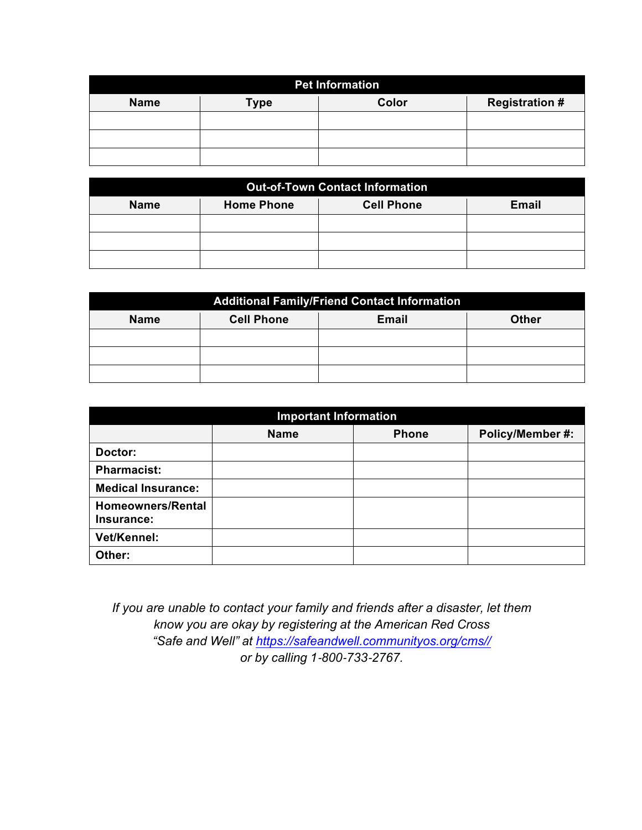|             |             | <b>Pet Information</b> |                       |
|-------------|-------------|------------------------|-----------------------|
| <b>Name</b> | <b>Type</b> | Color                  | <b>Registration #</b> |
|             |             |                        |                       |
|             |             |                        |                       |
|             |             |                        |                       |

|             |                   | <b>Out-of-Town Contact Information</b> |              |
|-------------|-------------------|----------------------------------------|--------------|
| <b>Name</b> | <b>Home Phone</b> | <b>Cell Phone</b>                      | <b>Email</b> |
|             |                   |                                        |              |
|             |                   |                                        |              |
|             |                   |                                        |              |

|             |                   | <b>Additional Family/Friend Contact Information</b> |              |
|-------------|-------------------|-----------------------------------------------------|--------------|
| <b>Name</b> | <b>Cell Phone</b> | <b>Email</b>                                        | <b>Other</b> |
|             |                   |                                                     |              |
|             |                   |                                                     |              |
|             |                   |                                                     |              |

|                                 | <b>Important Information</b> |              |                  |
|---------------------------------|------------------------------|--------------|------------------|
|                                 | <b>Name</b>                  | <b>Phone</b> | Policy/Member #: |
| Doctor:                         |                              |              |                  |
| <b>Pharmacist:</b>              |                              |              |                  |
| <b>Medical Insurance:</b>       |                              |              |                  |
| Homeowners/Rental<br>Insurance: |                              |              |                  |
| Vet/Kennel:                     |                              |              |                  |
| Other:                          |                              |              |                  |

*If you are unable to contact your family and friends after a disaster, let them know you are okay by registering at the American Red Cross "Safe and Well" at https://safeandwell.communityos.org/cms// or by calling 1*-*800*-*733*-*2767.*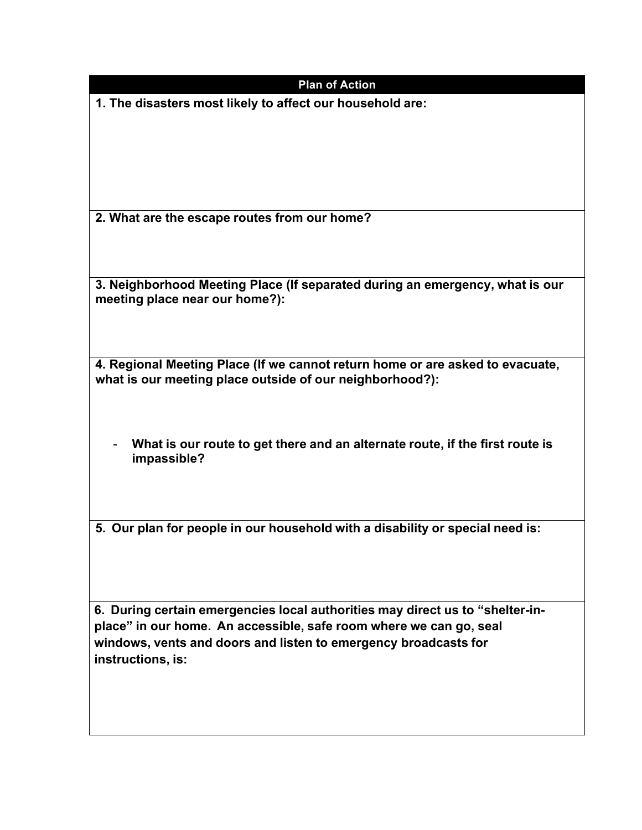| <b>Plan of Action</b>                                                                                          |
|----------------------------------------------------------------------------------------------------------------|
| 1. The disasters most likely to affect our household are:                                                      |
|                                                                                                                |
|                                                                                                                |
|                                                                                                                |
| 2. What are the escape routes from our home?                                                                   |
|                                                                                                                |
|                                                                                                                |
| 3. Neighborhood Meeting Place (If separated during an emergency, what is our<br>meeting place near our home?): |
|                                                                                                                |
| 4. Regional Meeting Place (If we cannot return home or are asked to evacuate,                                  |
| what is our meeting place outside of our neighborhood?):                                                       |
|                                                                                                                |
| What is our route to get there and an alternate route, if the first route is                                   |
| impassible?                                                                                                    |
|                                                                                                                |
| 5. Our plan for people in our household with a disability or special need is:                                  |
|                                                                                                                |
|                                                                                                                |
| 6. During certain emergencies local authorities may direct us to "shelter-in-                                  |
| place" in our home. An accessible, safe room where we can go, seal                                             |

**windows, vents and doors and listen to emergency broadcasts for instructions, is:**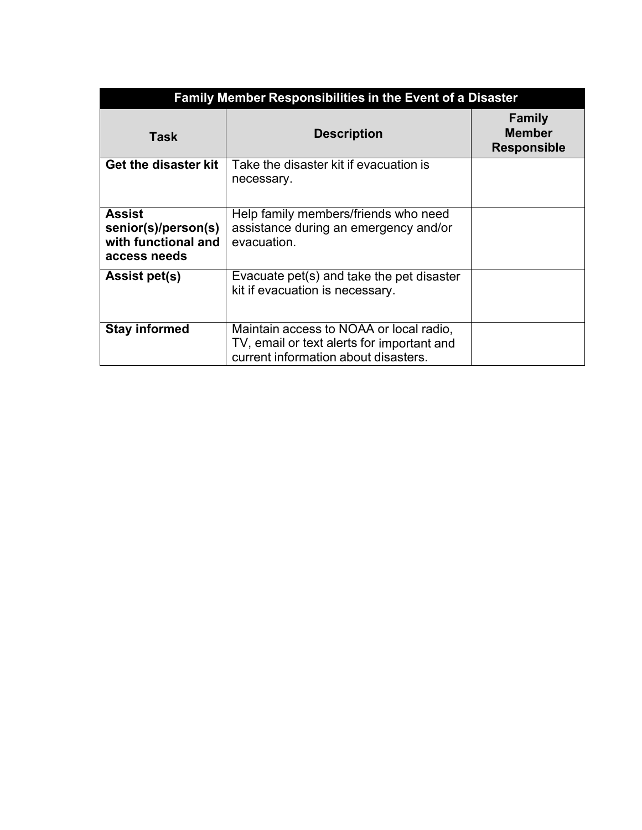| <b>Family Member Responsibilities in the Event of a Disaster</b>            |                                                                                                                               |                                                      |
|-----------------------------------------------------------------------------|-------------------------------------------------------------------------------------------------------------------------------|------------------------------------------------------|
| Task                                                                        | <b>Description</b>                                                                                                            | <b>Family</b><br><b>Member</b><br><b>Responsible</b> |
| Get the disaster kit                                                        | Take the disaster kit if evacuation is<br>necessary.                                                                          |                                                      |
| <b>Assist</b><br>senior(s)/person(s)<br>with functional and<br>access needs | Help family members/friends who need<br>assistance during an emergency and/or<br>evacuation.                                  |                                                      |
| <b>Assist pet(s)</b>                                                        | Evacuate pet(s) and take the pet disaster<br>kit if evacuation is necessary.                                                  |                                                      |
| <b>Stay informed</b>                                                        | Maintain access to NOAA or local radio,<br>TV, email or text alerts for important and<br>current information about disasters. |                                                      |